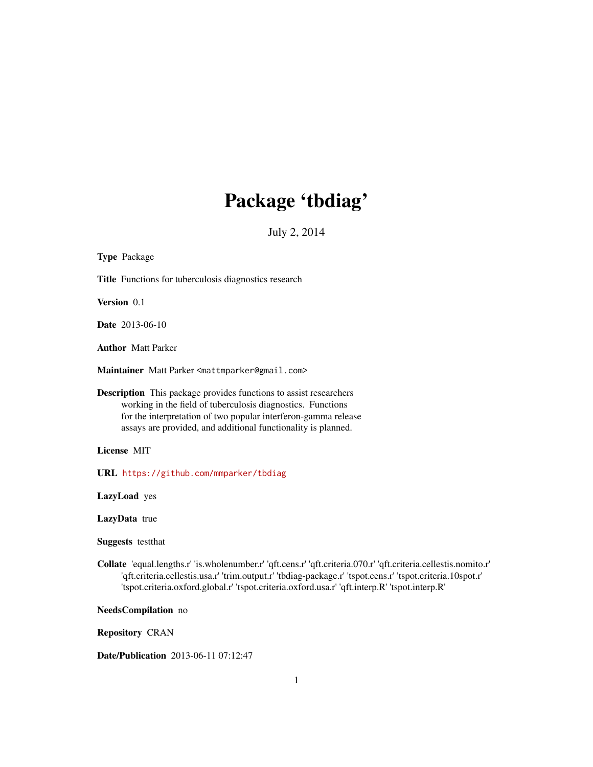# Package 'tbdiag'

July 2, 2014

| <b>Type Package</b>                                                                                                                                                                                                                                                                                                              |
|----------------------------------------------------------------------------------------------------------------------------------------------------------------------------------------------------------------------------------------------------------------------------------------------------------------------------------|
| <b>Title</b> Functions for tuberculosis diagnostics research                                                                                                                                                                                                                                                                     |
| Version 0.1                                                                                                                                                                                                                                                                                                                      |
| <b>Date</b> 2013-06-10                                                                                                                                                                                                                                                                                                           |
| <b>Author</b> Matt Parker                                                                                                                                                                                                                                                                                                        |
| Maintainer Matt Parker <mattmparker@gmail.com></mattmparker@gmail.com>                                                                                                                                                                                                                                                           |
| <b>Description</b> This package provides functions to assist researchers<br>working in the field of tuberculosis diagnostics. Functions<br>for the interpretation of two popular interferon-gamma release<br>assays are provided, and additional functionality is planned.                                                       |
| License MIT                                                                                                                                                                                                                                                                                                                      |
| URL https://github.com/mmparker/tbdiag                                                                                                                                                                                                                                                                                           |
| LazyLoad yes                                                                                                                                                                                                                                                                                                                     |
| LazyData true                                                                                                                                                                                                                                                                                                                    |
| <b>Suggests</b> testthat                                                                                                                                                                                                                                                                                                         |
| Collate 'equal.lengths.r' 'is.wholenumber.r' 'qft.cens.r' 'qft.criteria.070.r' 'qft.criteria.cellestis.nomito.r'<br>'qft.criteria.cellestis.usa.r' 'trim.output.r' 'tbdiag-package.r' 'tspot.cens.r' 'tspot.criteria.10spot.r'<br>'tspot.criteria.oxford.global.r' 'tspot.criteria.oxford.usa.r' 'qft.interp.R' 'tspot.interp.R' |

NeedsCompilation no

Repository CRAN

Date/Publication 2013-06-11 07:12:47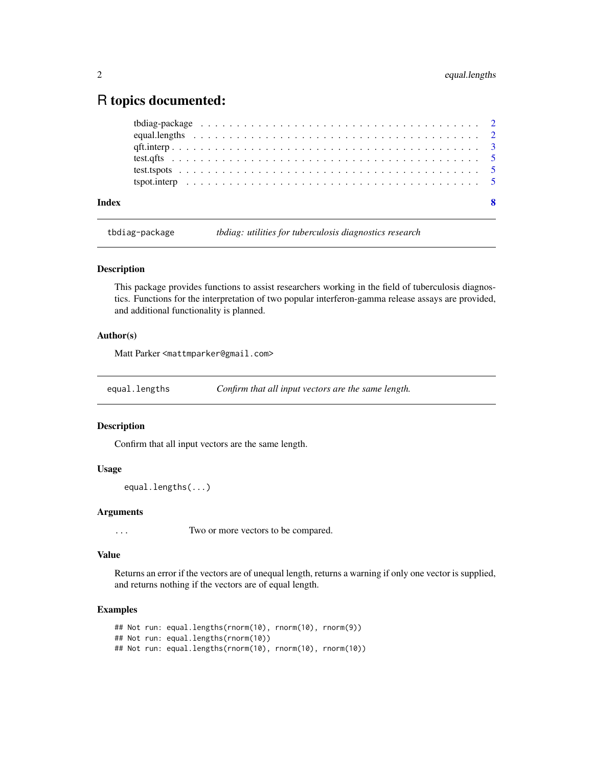# <span id="page-1-0"></span>R topics documented:

| Index |  |
|-------|--|
|       |  |
|       |  |
|       |  |
|       |  |
|       |  |
|       |  |

tbdiag-package *tbdiag: utilities for tuberculosis diagnostics research*

### Description

This package provides functions to assist researchers working in the field of tuberculosis diagnostics. Functions for the interpretation of two popular interferon-gamma release assays are provided, and additional functionality is planned.

# Author(s)

Matt Parker <mattmparker@gmail.com>

equal.lengths *Confirm that all input vectors are the same length.*

# Description

Confirm that all input vectors are the same length.

# Usage

```
equal.lengths(...)
```
# Arguments

... Two or more vectors to be compared.

#### Value

Returns an error if the vectors are of unequal length, returns a warning if only one vector is supplied, and returns nothing if the vectors are of equal length.

#### Examples

```
## Not run: equal.lengths(rnorm(10), rnorm(10), rnorm(9))
## Not run: equal.lengths(rnorm(10))
## Not run: equal.lengths(rnorm(10), rnorm(10), rnorm(10))
```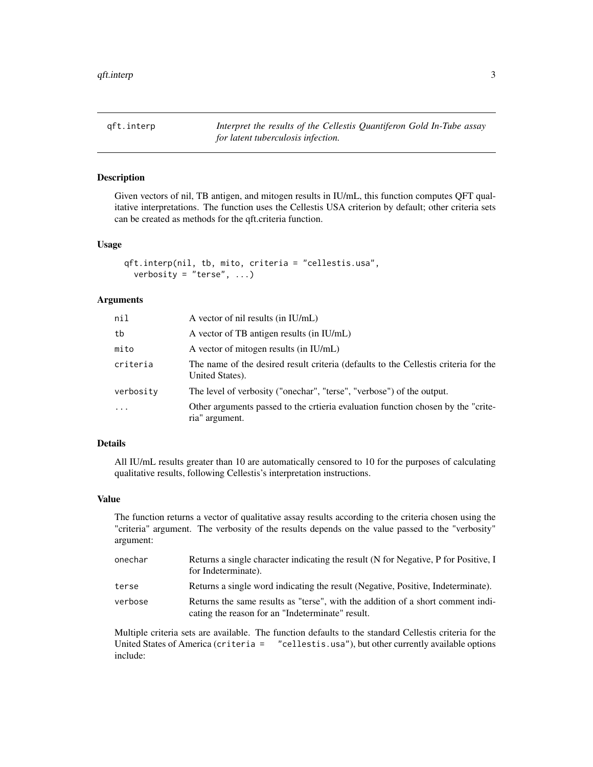<span id="page-2-1"></span><span id="page-2-0"></span>qft.interp *Interpret the results of the Cellestis Quantiferon Gold In-Tube assay for latent tuberculosis infection.*

# Description

Given vectors of nil, TB antigen, and mitogen results in IU/mL, this function computes QFT qualitative interpretations. The function uses the Cellestis USA criterion by default; other criteria sets can be created as methods for the qft.criteria function.

#### Usage

```
qft.interp(nil, tb, mito, criteria = "cellestis.usa",
 verbosity = "terse", \dots)
```
#### **Arguments**

| nil       | A vector of nil results (in IU/mL)                                                                     |
|-----------|--------------------------------------------------------------------------------------------------------|
| tb        | A vector of TB antigen results (in IU/mL)                                                              |
| mito      | A vector of mitogen results (in IU/mL)                                                                 |
| criteria  | The name of the desired result criteria (defaults to the Cellestis criteria for the<br>United States). |
| verbosity | The level of verbosity ("onechar", "terse", "verbose") of the output.                                  |
| .         | Other arguments passed to the crtieria evaluation function chosen by the "crite-<br>ria" argument.     |

### Details

All IU/mL results greater than 10 are automatically censored to 10 for the purposes of calculating qualitative results, following Cellestis's interpretation instructions.

#### Value

The function returns a vector of qualitative assay results according to the criteria chosen using the "criteria" argument. The verbosity of the results depends on the value passed to the "verbosity" argument:

| onechar | Returns a single character indicating the result (N for Negative, P for Positive, I<br>for Indeterminate).                          |
|---------|-------------------------------------------------------------------------------------------------------------------------------------|
| terse   | Returns a single word indicating the result (Negative, Positive, Indeterminate).                                                    |
| verbose | Returns the same results as "terse", with the addition of a short comment indi-<br>cating the reason for an "Indeterminate" result. |

Multiple criteria sets are available. The function defaults to the standard Cellestis criteria for the United States of America (criteria = "cellestis.usa"), but other currently available options include: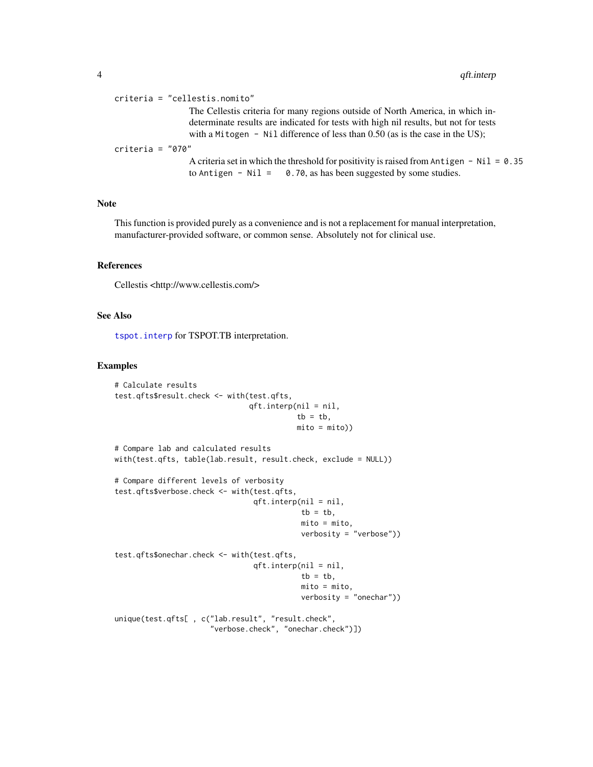<span id="page-3-0"></span>criteria = "cellestis.nomito" The Cellestis criteria for many regions outside of North America, in which indeterminate results are indicated for tests with high nil results, but not for tests with a Mitogen - Nil difference of less than 0.50 (as is the case in the US); criteria = "070" A criteria set in which the threshold for positivity is raised from Antigen - Nil =  $0.35$ 

to Antigen - Nil =  $0.70$ , as has been suggested by some studies.

Note

This function is provided purely as a convenience and is not a replacement for manual interpretation, manufacturer-provided software, or common sense. Absolutely not for clinical use.

#### References

Cellestis <http://www.cellestis.com/>

# See Also

[tspot.interp](#page-4-1) for TSPOT.TB interpretation.

#### Examples

```
# Calculate results
test.qfts$result.check <- with(test.qfts,
                               qft.interp(nil = nil,
                                         tb = tb,
                                          mito = mito))
# Compare lab and calculated results
with(test.qfts, table(lab.result, result.check, exclude = NULL))
# Compare different levels of verbosity
test.qfts$verbose.check <- with(test.qfts,
                                qft.interp(nil = nil,
                                           tb = tb,mito = mito,
                                           verbosity = "verbose"))
test.qfts$onechar.check <- with(test.qfts,
                                qft.interp(nil = nil,
                                           tb = tb,mito = mito,
                                           verbosity = "onechar"))
unique(test.qfts[ , c("lab.result", "result.check",
                      "verbose.check", "onechar.check")])
```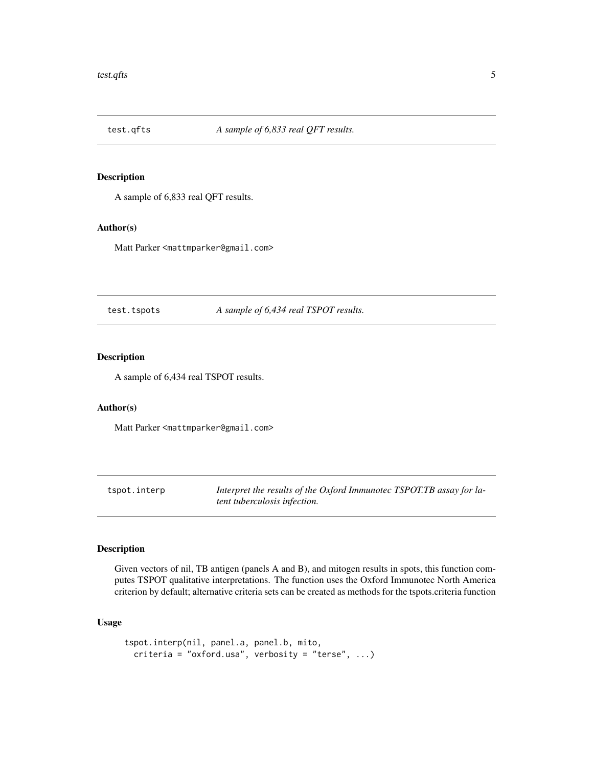<span id="page-4-0"></span>

# Description

A sample of 6,833 real QFT results.

#### Author(s)

Matt Parker <mattmparker@gmail.com>

test.tspots *A sample of 6,434 real TSPOT results.*

# Description

A sample of 6,434 real TSPOT results.

#### Author(s)

Matt Parker <mattmparker@gmail.com>

<span id="page-4-1"></span>tspot.interp *Interpret the results of the Oxford Immunotec TSPOT.TB assay for latent tuberculosis infection.*

### Description

Given vectors of nil, TB antigen (panels A and B), and mitogen results in spots, this function computes TSPOT qualitative interpretations. The function uses the Oxford Immunotec North America criterion by default; alternative criteria sets can be created as methods for the tspots.criteria function

# Usage

```
tspot.interp(nil, panel.a, panel.b, mito,
 criteria = "oxford.usa", verbosity = "terse", ...)
```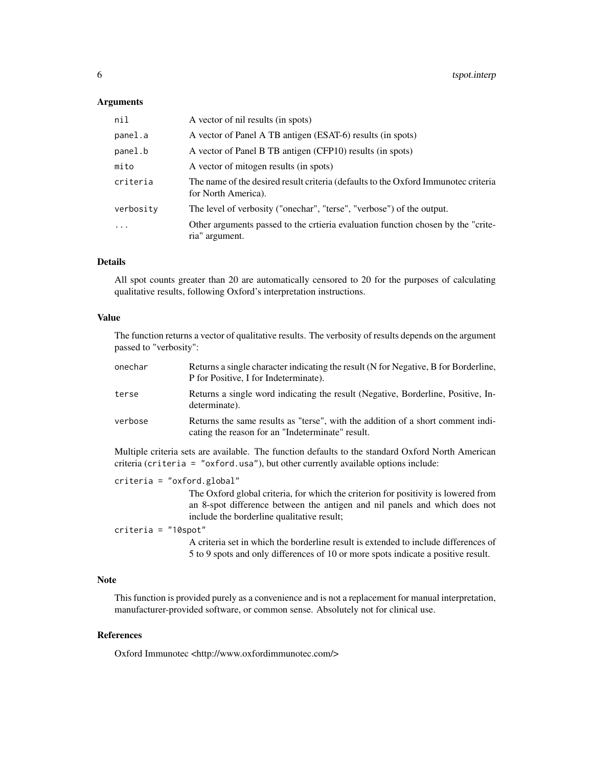#### **Arguments**

| nil       | A vector of nil results (in spots)                                                                        |
|-----------|-----------------------------------------------------------------------------------------------------------|
| panel.a   | A vector of Panel A TB antigen (ESAT-6) results (in spots)                                                |
| panel.b   | A vector of Panel B TB antigen (CFP10) results (in spots)                                                 |
| mito      | A vector of mitogen results (in spots)                                                                    |
| criteria  | The name of the desired result criteria (defaults to the Oxford Immunotec criteria<br>for North America). |
| verbosity | The level of verbosity ("onechar", "terse", "verbose") of the output.                                     |
| $\ddotsc$ | Other arguments passed to the crtieria evaluation function chosen by the "crite-<br>ria" argument.        |

# Details

All spot counts greater than 20 are automatically censored to 20 for the purposes of calculating qualitative results, following Oxford's interpretation instructions.

#### Value

The function returns a vector of qualitative results. The verbosity of results depends on the argument passed to "verbosity":

| onechar | Returns a single character indicating the result (N for Negative, B for Borderline,<br>P for Positive, I for Indeterminate).        |
|---------|-------------------------------------------------------------------------------------------------------------------------------------|
| terse   | Returns a single word indicating the result (Negative, Borderline, Positive, In-<br>determinate).                                   |
| verbose | Returns the same results as "terse", with the addition of a short comment indi-<br>cating the reason for an "Indeterminate" result. |

Multiple criteria sets are available. The function defaults to the standard Oxford North American criteria (criteria = "oxford.usa"), but other currently available options include:

criteria = "oxford.global"

The Oxford global criteria, for which the criterion for positivity is lowered from an 8-spot difference between the antigen and nil panels and which does not include the borderline qualitative result;

# criteria = "10spot"

A criteria set in which the borderline result is extended to include differences of 5 to 9 spots and only differences of 10 or more spots indicate a positive result.

# Note

This function is provided purely as a convenience and is not a replacement for manual interpretation, manufacturer-provided software, or common sense. Absolutely not for clinical use.

# References

Oxford Immunotec <http://www.oxfordimmunotec.com/>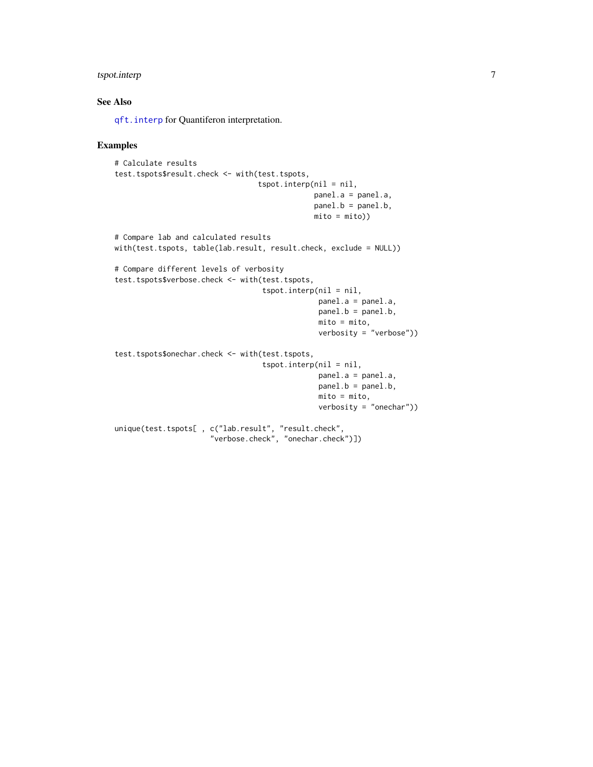# <span id="page-6-0"></span>tspot.interp 7

# See Also

[qft.interp](#page-2-1) for Quantiferon interpretation.

#### Examples

```
# Calculate results
test.tspots$result.check <- with(test.tspots,
                                 tspot.interp(nil = nil,
                                              panel.a = panel.a,
                                              panel.b = panel.b,
                                              mito = mito))
# Compare lab and calculated results
with(test.tspots, table(lab.result, result.check, exclude = NULL))
# Compare different levels of verbosity
test.tspots$verbose.check <- with(test.tspots,
                                  tspot.interp(nil = nil,
                                               panel.a = panel.a,
                                               panel.b = panel.b,
                                               mito = mito,
                                               verbosity = "verbose"))
test.tspots$onechar.check <- with(test.tspots,
                                  tspot.interp(nil = nil,
                                               panel.a = panel.a,
                                               panel.b = panel.b,
                                               mito = mito,
                                               verbosity = "onechar"))
unique(test.tspots[ , c("lab.result", "result.check",
                      "verbose.check", "onechar.check")])
```